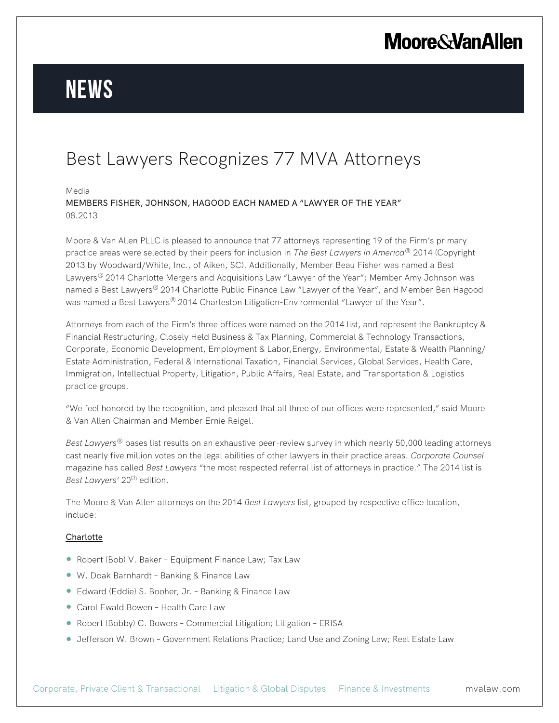## **Moore & Van Allen**

# **News**

### Best Lawyers Recognizes 77 MVA Attorneys

#### Media

MEMBERS FISHER, JOHNSON, HAGOOD EACH NAMED A "LAWYER OF THE YEAR" 08.2013

Moore & Van Allen PLLC is pleased to announce that 77 attorneys representing 19 of the Firm's primary practice areas were selected by their peers for inclusion in *The Best Lawyers in America®* 2014 (Copyright 2013 by Woodward/White, Inc., of Aiken, SC). Additionally, Member Beau Fisher was named a Best Lawyers*®* 2014 Charlotte Mergers and Acquisitions Law "Lawyer of the Year"; Member Amy Johnson was named a Best Lawyers*®* 2014 Charlotte Public Finance Law "Lawyer of the Year"; and Member Ben Hagood was named a Best Lawyers*®* 2014 Charleston Litigation-Environmental "Lawyer of the Year".

Attorneys from each of the Firm's three offices were named on the 2014 list, and represent the Bankruptcy & Financial Restructuring, Closely Held Business & Tax Planning, Commercial & Technology Transactions, Corporate, Economic Development, Employment & Labor,Energy, Environmental, Estate & Wealth Planning/ Estate Administration, Federal & International Taxation, Financial Services, Global Services, Health Care, Immigration, Intellectual Property, Litigation, Public Affairs, Real Estate, and Transportation & Logistics practice groups.

"We feel honored by the recognition, and pleased that all three of our offices were represented," said Moore & Van Allen Chairman and Member Ernie Reigel.

*Best Lawyers®* bases list results on an exhaustive peer-review survey in which nearly 50,000 leading attorneys cast nearly five million votes on the legal abilities of other lawyers in their practice areas. *Corporate Counsel* magazine has called *Best Lawyers* "the most respected referral list of attorneys in practice." The 2014 list is *Best Lawyers'* 20<sup>th</sup> edition.

The Moore & Van Allen attorneys on the 2014 *Best Lawyers* list, grouped by respective office location, include:

### **Charlotte**

- Robert (Bob) V. Baker Equipment Finance Law; Tax Law
- W. Doak Barnhardt Banking & Finance Law
- Edward (Eddie) S. Booher, Jr. Banking & Finance Law
- Carol Ewald Bowen Health Care Law
- Robert (Bobby) C. Bowers Commercial Litigation; Litigation ERISA
- Jefferson W. Brown Government Relations Practice; Land Use and Zoning Law; Real Estate Law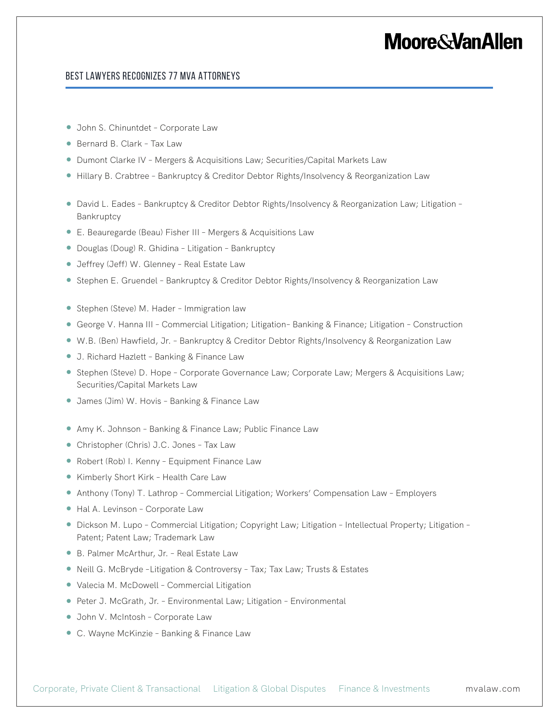### **Moore&VanAllen**

### Best Lawyers Recognizes 77 MVA Attorneys

- John S. Chinuntdet Corporate Law
- Bernard B. Clark Tax Law
- Dumont Clarke IV Mergers & Acquisitions Law; Securities/Capital Markets Law
- Hillary B. Crabtree Bankruptcy & Creditor Debtor Rights/Insolvency & Reorganization Law
- David L. Eades Bankruptcy & Creditor Debtor Rights/Insolvency & Reorganization Law; Litigation -Bankruptcy
- E. Beauregarde (Beau) Fisher III Mergers & Acquisitions Law
- Douglas (Doug) R. Ghidina Litigation Bankruptcy
- Jeffrey (Jeff) W. Glenney Real Estate Law
- Stephen E. Gruendel Bankruptcy & Creditor Debtor Rights/Insolvency & Reorganization Law
- Stephen (Steve) M. Hader Immigration law
- George V. Hanna III Commercial Litigation; Litigation- Banking & Finance; Litigation Construction
- W.B. (Ben) Hawfield, Jr. Bankruptcy & Creditor Debtor Rights/Insolvency & Reorganization Law
- J. Richard Hazlett Banking & Finance Law
- Stephen (Steve) D. Hope Corporate Governance Law; Corporate Law; Mergers & Acquisitions Law; Securities/Capital Markets Law
- James (Jim) W. Hovis Banking & Finance Law
- Amy K. Johnson Banking & Finance Law; Public Finance Law
- Christopher (Chris) J.C. Jones Tax Law
- Robert (Rob) I. Kenny Equipment Finance Law
- Kimberly Short Kirk Health Care Law
- Anthony (Tony) T. Lathrop Commercial Litigation; Workers' Compensation Law Employers
- Hal A. Levinson Corporate Law
- Dickson M. Lupo Commercial Litigation; Copyright Law; Litigation Intellectual Property; Litigation Patent; Patent Law; Trademark Law
- B. Palmer McArthur, Jr. Real Estate Law
- Neill G. McBryde -Litigation & Controversy Tax; Tax Law; Trusts & Estates
- Valecia M. McDowell Commercial Litigation
- Peter J. McGrath, Jr. Environmental Law; Litigation Environmental
- John V. McIntosh Corporate Law
- C. Wayne McKinzie Banking & Finance Law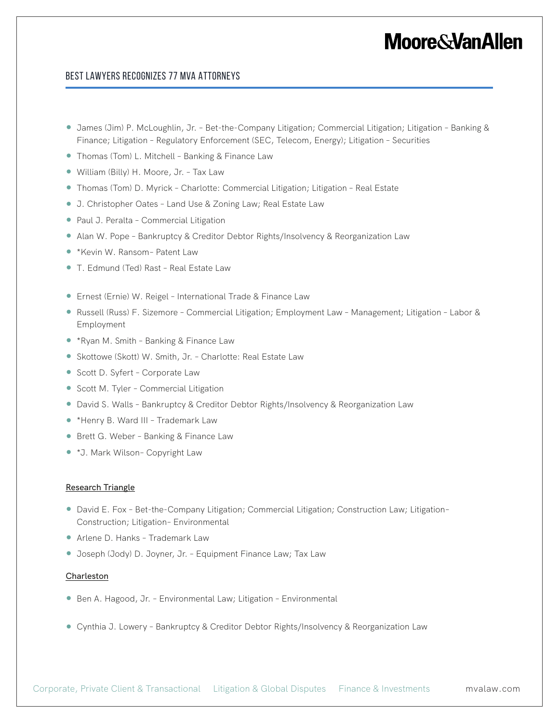### **Moore&VanAllen**

### Best Lawyers Recognizes 77 MVA Attorneys

- James (Jim) P. McLoughlin, Jr. Bet-the-Company Litigation; Commercial Litigation; Litigation Banking & Finance; Litigation – Regulatory Enforcement (SEC, Telecom, Energy); Litigation – Securities
- Thomas (Tom) L. Mitchell Banking & Finance Law
- William (Billy) H. Moore, Jr. Tax Law
- Thomas (Tom) D. Myrick Charlotte: Commercial Litigation; Litigation Real Estate
- J. Christopher Oates Land Use & Zoning Law; Real Estate Law
- Paul J. Peralta Commercial Litigation
- Alan W. Pope Bankruptcy & Creditor Debtor Rights/Insolvency & Reorganization Law
- \*Kevin W. Ransom– Patent Law
- T. Edmund (Ted) Rast Real Estate Law
- Ernest (Ernie) W. Reigel International Trade & Finance Law
- Russell (Russ) F. Sizemore Commercial Litigation; Employment Law Management; Litigation Labor & Employment
- \*Ryan M. Smith Banking & Finance Law
- Skottowe (Skott) W. Smith, Jr. Charlotte: Real Estate Law
- Scott D. Syfert Corporate Law
- Scott M. Tyler Commercial Litigation
- David S. Walls Bankruptcy & Creditor Debtor Rights/Insolvency & Reorganization Law
- \*Henry B. Ward III Trademark Law
- Brett G. Weber Banking & Finance Law
- \*J. Mark Wilson– Copyright Law

#### Research Triangle

- David E. Fox Bet-the-Company Litigation; Commercial Litigation; Construction Law; Litigation-Construction; Litigation– Environmental
- Arlene D. Hanks Trademark Law
- Joseph (Jody) D. Joyner, Jr. Equipment Finance Law; Tax Law

#### Charleston

- Ben A. Hagood, Jr. Environmental Law; Litigation Environmental
- Cynthia J. Lowery Bankruptcy & Creditor Debtor Rights/Insolvency & Reorganization Law